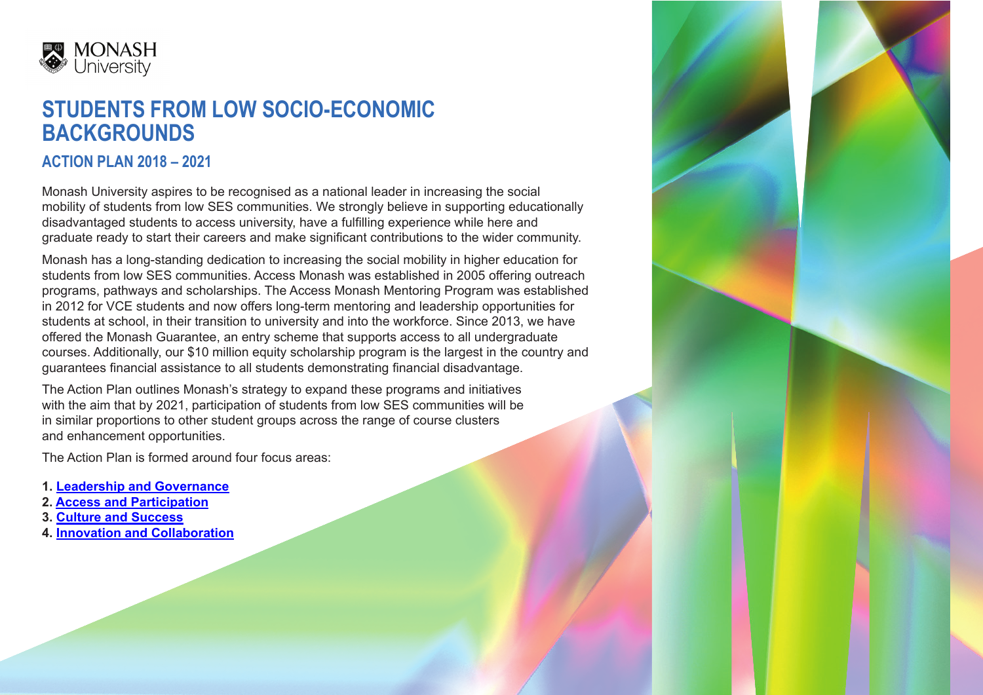

# **STUDENTS FROM LOW SOCIO-ECONOMIC BACKGROUNDS**

# **ACTION PLAN 2018 – 2021**

Monash University aspires to be recognised as a national leader in increasing the social mobility of students from low SES communities. We strongly believe in supporting educationally disadvantaged students to access university, have a fulfilling experience while here and graduate ready to start their careers and make significant contributions to the wider community.

Monash has a long-standing dedication to increasing the social mobility in higher education for students from low SES communities. Access Monash was established in 2005 offering outreach programs, pathways and scholarships. The Access Monash Mentoring Program was established in 2012 for VCE students and now offers long-term mentoring and leadership opportunities for students at school, in their transition to university and into the workforce. Since 2013, we have offered the Monash Guarantee, an entry scheme that supports access to all undergraduate courses. Additionally, our \$10 million equity scholarship program is the largest in the country and guarantees financial assistance to all students demonstrating financial disadvantage.

The Action Plan outlines Monash's strategy to expand these programs and initiatives with the aim that by 2021, participation of students from low SES communities will be in similar proportions to other student groups across the range of course clusters and enhancement opportunities.

The Action Plan is formed around four focus areas:

- **1. [Leadership and Governance](#page-1-0)**
- **2. [Access and Participation](#page-2-0)**
- **3. [Culture and Success](#page-3-0)**
- **4. [Innovation and Collaboration](#page-4-0)**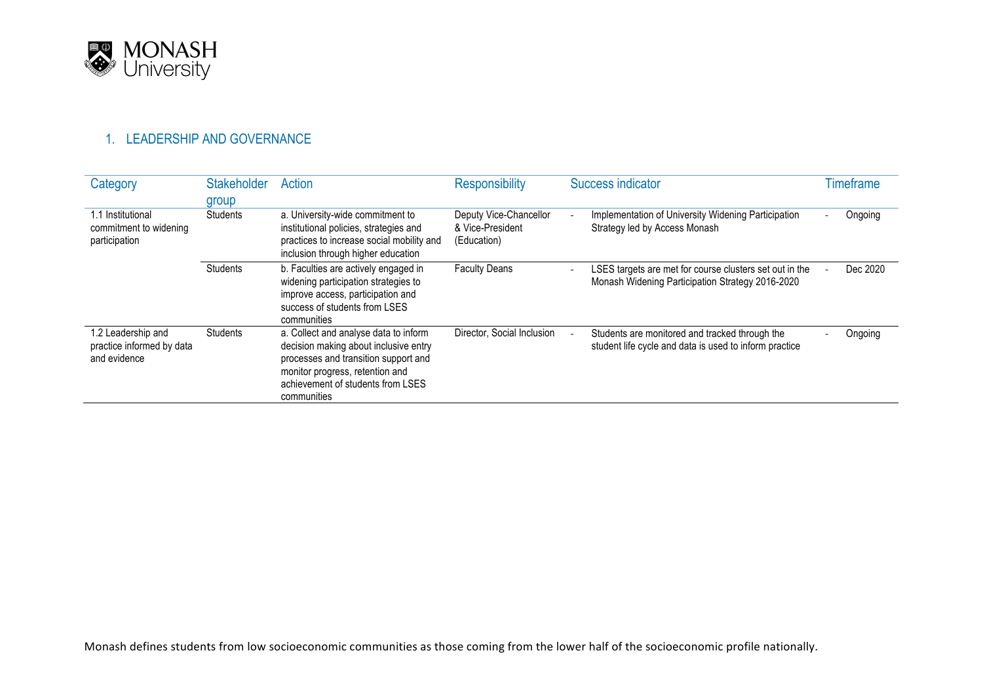<span id="page-1-0"></span>

## 1. LEADERSHIP AND GOVERNANCE

| Category                                                        | <b>Stakeholder</b><br>group | Action                                                                                                                                                                                                        | <b>Responsibility</b>                                     | Success indicator                                                                                           | Timeframe |
|-----------------------------------------------------------------|-----------------------------|---------------------------------------------------------------------------------------------------------------------------------------------------------------------------------------------------------------|-----------------------------------------------------------|-------------------------------------------------------------------------------------------------------------|-----------|
| 1.1 Institutional<br>commitment to widening<br>participation    | <b>Students</b>             | a. University-wide commitment to<br>institutional policies, strategies and<br>practices to increase social mobility and<br>inclusion through higher education                                                 | Deputy Vice-Chancellor<br>& Vice-President<br>(Education) | Implementation of University Widening Participation<br>Strategy led by Access Monash                        | Ongoing   |
|                                                                 | <b>Students</b>             | b. Faculties are actively engaged in<br>widening participation strategies to<br>improve access, participation and<br>success of students from LSES<br>communities                                             | <b>Faculty Deans</b>                                      | LSES targets are met for course clusters set out in the<br>Monash Widening Participation Strategy 2016-2020 | Dec 2020  |
| 1.2 Leadership and<br>practice informed by data<br>and evidence | <b>Students</b>             | a. Collect and analyse data to inform<br>decision making about inclusive entry<br>processes and transition support and<br>monitor progress, retention and<br>achievement of students from LSES<br>communities | Director, Social Inclusion                                | Students are monitored and tracked through the<br>student life cycle and data is used to inform practice    | Ongoing   |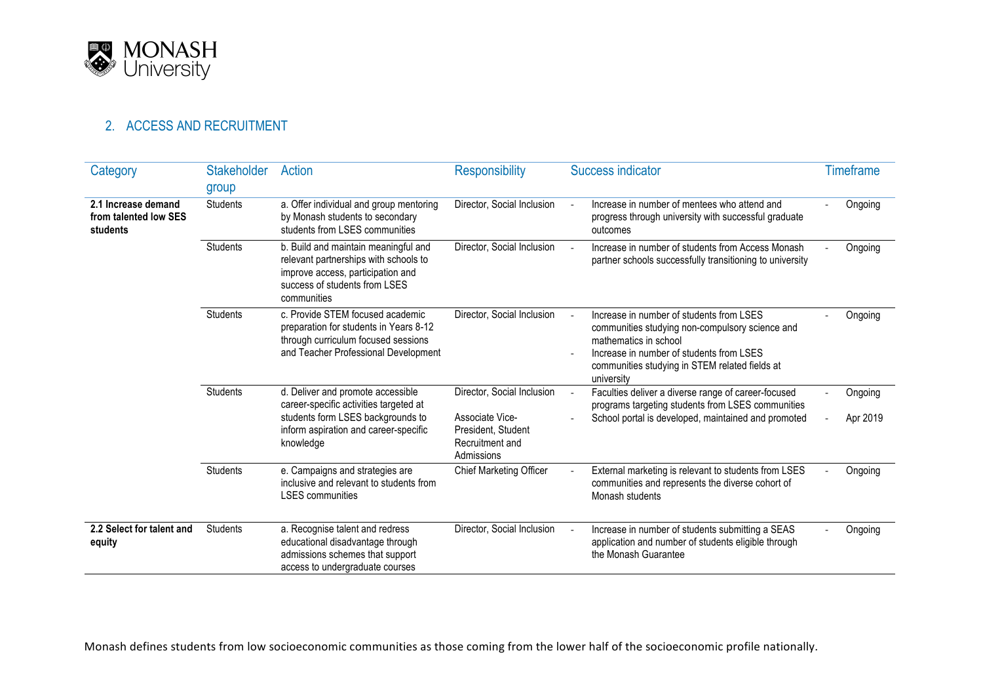<span id="page-2-0"></span>

# 2. ACCESS AND RECRUITMENT

| Category                                                 | <b>Stakeholder</b><br>group | Action                                                                                                                                                                 | <b>Responsibility</b>                                                                                | <b>Success indicator</b>                                                                                                                                                                                                         | <b>Timeframe</b>    |
|----------------------------------------------------------|-----------------------------|------------------------------------------------------------------------------------------------------------------------------------------------------------------------|------------------------------------------------------------------------------------------------------|----------------------------------------------------------------------------------------------------------------------------------------------------------------------------------------------------------------------------------|---------------------|
| 2.1 Increase demand<br>from talented low SES<br>students | <b>Students</b>             | a. Offer individual and group mentoring<br>by Monash students to secondary<br>students from LSES communities                                                           | Director, Social Inclusion                                                                           | Increase in number of mentees who attend and<br>progress through university with successful graduate<br>outcomes                                                                                                                 | Ongoing             |
|                                                          | <b>Students</b>             | b. Build and maintain meaningful and<br>relevant partnerships with schools to<br>improve access, participation and<br>success of students from LSES<br>communities     | Director, Social Inclusion                                                                           | Increase in number of students from Access Monash<br>partner schools successfully transitioning to university                                                                                                                    | Ongoing             |
|                                                          | <b>Students</b>             | c. Provide STEM focused academic<br>preparation for students in Years 8-12<br>through curriculum focused sessions<br>and Teacher Professional Development              | Director, Social Inclusion                                                                           | Increase in number of students from LSES<br>communities studying non-compulsory science and<br>mathematics in school<br>Increase in number of students from LSES<br>communities studying in STEM related fields at<br>university | Ongoing             |
|                                                          | <b>Students</b>             | d. Deliver and promote accessible<br>career-specific activities targeted at<br>students form LSES backgrounds to<br>inform aspiration and career-specific<br>knowledge | Director, Social Inclusion<br>Associate Vice-<br>President, Student<br>Recruitment and<br>Admissions | Faculties deliver a diverse range of career-focused<br>programs targeting students from LSES communities<br>School portal is developed, maintained and promoted                                                                  | Ongoing<br>Apr 2019 |
|                                                          | <b>Students</b>             | e. Campaigns and strategies are<br>inclusive and relevant to students from<br><b>LSES</b> communities                                                                  | <b>Chief Marketing Officer</b>                                                                       | External marketing is relevant to students from LSES<br>communities and represents the diverse cohort of<br>Monash students                                                                                                      | Ongoing             |
| 2.2 Select for talent and<br>equity                      | <b>Students</b>             | a. Recognise talent and redress<br>educational disadvantage through<br>admissions schemes that support<br>access to undergraduate courses                              | Director, Social Inclusion                                                                           | Increase in number of students submitting a SEAS<br>application and number of students eligible through<br>the Monash Guarantee                                                                                                  | Ongoing             |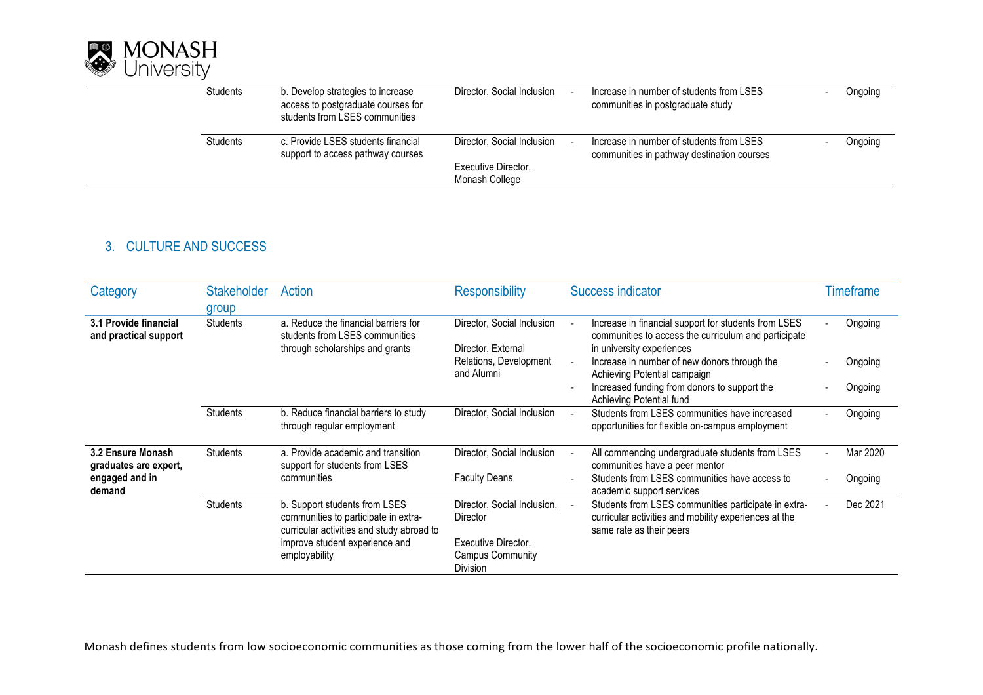<span id="page-3-0"></span>

| <b>Students</b> | b. Develop strategies to increase<br>access to postgraduate courses for<br>students from LSES communities | Director, Social Inclusion                        | Increase in number of students from LSES<br>communities in postgraduate study          | Ongoing |
|-----------------|-----------------------------------------------------------------------------------------------------------|---------------------------------------------------|----------------------------------------------------------------------------------------|---------|
| <b>Students</b> | c. Provide LSES students financial<br>support to access pathway courses                                   | Director, Social Inclusion<br>Executive Director, | Increase in number of students from LSES<br>communities in pathway destination courses | Ongoing |
|                 |                                                                                                           | Monash College                                    |                                                                                        |         |

## 3. CULTURE AND SUCCESS

| Category                                       | <b>Stakeholder</b><br>group | Action                                                                                                             | <b>Responsibility</b>                                      | Success indicator                                                                                                                         | Timeframe |
|------------------------------------------------|-----------------------------|--------------------------------------------------------------------------------------------------------------------|------------------------------------------------------------|-------------------------------------------------------------------------------------------------------------------------------------------|-----------|
| 3.1 Provide financial<br>and practical support | <b>Students</b>             | a. Reduce the financial barriers for<br>students from LSES communities                                             | Director, Social Inclusion                                 | Increase in financial support for students from LSES<br>communities to access the curriculum and participate                              | Ongoing   |
|                                                |                             | through scholarships and grants                                                                                    | Director, External<br>Relations, Development<br>and Alumni | in university experiences<br>Increase in number of new donors through the<br>Achieving Potential campaign                                 | Ongoing   |
|                                                |                             |                                                                                                                    |                                                            | Increased funding from donors to support the<br>Achieving Potential fund                                                                  | Ongoing   |
|                                                | <b>Students</b>             | b. Reduce financial barriers to study<br>through regular employment                                                | Director, Social Inclusion                                 | Students from LSES communities have increased<br>opportunities for flexible on-campus employment                                          | Ongoing   |
| 3.2 Ensure Monash<br>graduates are expert,     | <b>Students</b>             | a. Provide academic and transition<br>support for students from LSES                                               | Director, Social Inclusion                                 | All commencing undergraduate students from LSES<br>communities have a peer mentor                                                         | Mar 2020  |
| engaged and in<br>demand                       |                             | communities                                                                                                        | <b>Faculty Deans</b>                                       | Students from LSES communities have access to<br>academic support services                                                                | Ongoing   |
|                                                | <b>Students</b>             | b. Support students from LSES<br>communities to participate in extra-<br>curricular activities and study abroad to | Director, Social Inclusion,<br>Director                    | Students from LSES communities participate in extra-<br>curricular activities and mobility experiences at the<br>same rate as their peers | Dec 2021  |
|                                                |                             | improve student experience and<br>employability                                                                    | Executive Director.<br>Campus Community<br><b>Division</b> |                                                                                                                                           |           |

Monash defines students from low socioeconomic communities as those coming from the lower half of the socioeconomic profile nationally.